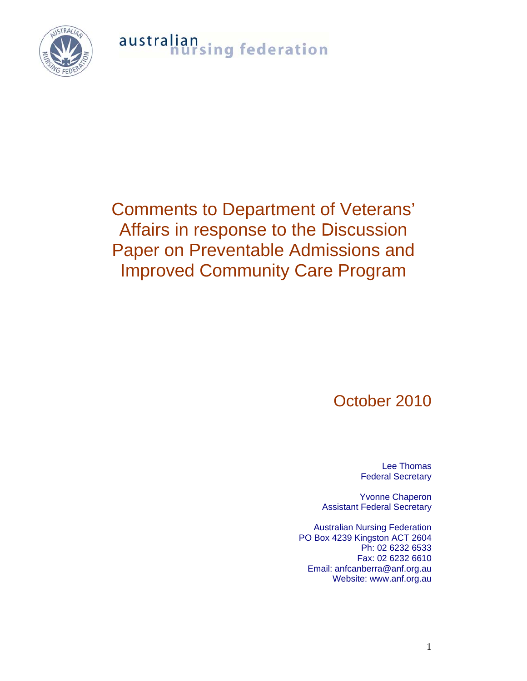australian<br>nursing federation



### Comments to Department of Veterans' Affairs in response to the Discussion Paper on Preventable Admissions and Improved Community Care Program

### October 2010

Lee Thomas Federal Secretary

Yvonne Chaperon Assistant Federal Secretary

Australian Nursing Federation PO Box 4239 Kingston ACT 2604 Ph: 02 6232 6533 Fax: 02 6232 6610 Email: anfcanberra@anf.org.au Website: www.anf.org.au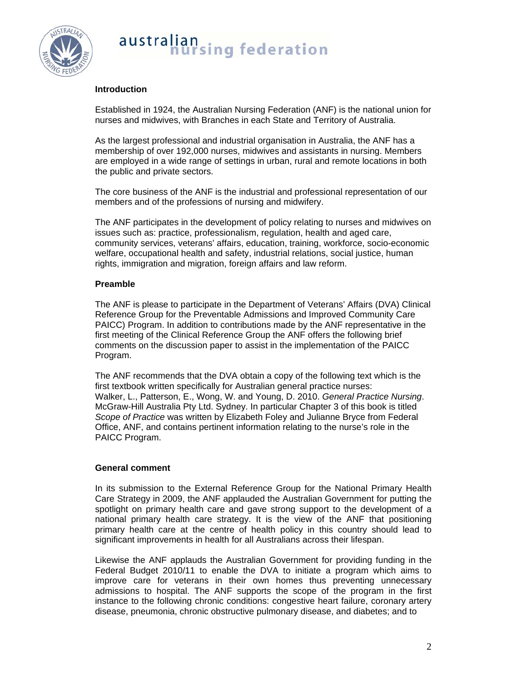

## australian<br>nursing federation

#### **Introduction**

Established in 1924, the Australian Nursing Federation (ANF) is the national union for nurses and midwives, with Branches in each State and Territory of Australia.

As the largest professional and industrial organisation in Australia, the ANF has a membership of over 192,000 nurses, midwives and assistants in nursing. Members are employed in a wide range of settings in urban, rural and remote locations in both the public and private sectors.

The core business of the ANF is the industrial and professional representation of our members and of the professions of nursing and midwifery.

The ANF participates in the development of policy relating to nurses and midwives on issues such as: practice, professionalism, regulation, health and aged care, community services, veterans' affairs, education, training, workforce, socio-economic welfare, occupational health and safety, industrial relations, social justice, human rights, immigration and migration, foreign affairs and law reform.

#### **Preamble**

The ANF is please to participate in the Department of Veterans' Affairs (DVA) Clinical Reference Group for the Preventable Admissions and Improved Community Care PAICC) Program. In addition to contributions made by the ANF representative in the first meeting of the Clinical Reference Group the ANF offers the following brief comments on the discussion paper to assist in the implementation of the PAICC Program.

The ANF recommends that the DVA obtain a copy of the following text which is the first textbook written specifically for Australian general practice nurses: Walker, L., Patterson, E., Wong, W. and Young, D. 2010. *General Practice Nursing*. McGraw-Hill Australia Pty Ltd. Sydney. In particular Chapter 3 of this book is titled *Scope of Practice* was written by Elizabeth Foley and Julianne Bryce from Federal Office, ANF, and contains pertinent information relating to the nurse's role in the PAICC Program.

#### **General comment**

In its submission to the External Reference Group for the National Primary Health Care Strategy in 2009, the ANF applauded the Australian Government for putting the spotlight on primary health care and gave strong support to the development of a national primary health care strategy. It is the view of the ANF that positioning primary health care at the centre of health policy in this country should lead to significant improvements in health for all Australians across their lifespan.

Likewise the ANF applauds the Australian Government for providing funding in the Federal Budget 2010/11 to enable the DVA to initiate a program which aims to improve care for veterans in their own homes thus preventing unnecessary admissions to hospital. The ANF supports the scope of the program in the first instance to the following chronic conditions: congestive heart failure, coronary artery disease, pneumonia, chronic obstructive pulmonary disease, and diabetes; and to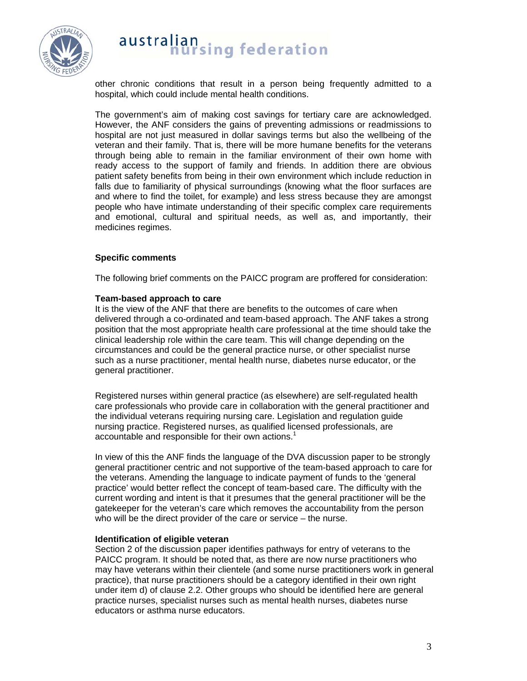

# australian<br>hursing federation

other chronic conditions that result in a person being frequently admitted to a hospital, which could include mental health conditions.

The government's aim of making cost savings for tertiary care are acknowledged. However, the ANF considers the gains of preventing admissions or readmissions to hospital are not just measured in dollar savings terms but also the wellbeing of the veteran and their family. That is, there will be more humane benefits for the veterans through being able to remain in the familiar environment of their own home with ready access to the support of family and friends. In addition there are obvious patient safety benefits from being in their own environment which include reduction in falls due to familiarity of physical surroundings (knowing what the floor surfaces are and where to find the toilet, for example) and less stress because they are amongst people who have intimate understanding of their specific complex care requirements and emotional, cultural and spiritual needs, as well as, and importantly, their medicines regimes.

#### **Specific comments**

The following brief comments on the PAICC program are proffered for consideration:

#### **Team-based approach to care**

It is the view of the ANF that there are benefits to the outcomes of care when delivered through a co-ordinated and team-based approach. The ANF takes a strong position that the most appropriate health care professional at the time should take the clinical leadership role within the care team. This will change depending on the circumstances and could be the general practice nurse, or other specialist nurse such as a nurse practitioner, mental health nurse, diabetes nurse educator, or the general practitioner.

Registered nurses within general practice (as elsewhere) are self-regulated health care professionals who provide care in collaboration with the general practitioner and the individual veterans requiring nursing care. Legislation and regulation guide nursing practice. Registered nurses, as qualified licensed professionals, are accountable and responsible for their own actions.<sup>1</sup>

In view of this the ANF finds the language of the DVA discussion paper to be strongly general practitioner centric and not supportive of the team-based approach to care for the veterans. Amending the language to indicate payment of funds to the 'general practice' would better reflect the concept of team-based care. The difficulty with the current wording and intent is that it presumes that the general practitioner will be the gatekeeper for the veteran's care which removes the accountability from the person who will be the direct provider of the care or service – the nurse.

#### **Identification of eligible veteran**

Section 2 of the discussion paper identifies pathways for entry of veterans to the PAICC program. It should be noted that, as there are now nurse practitioners who may have veterans within their clientele (and some nurse practitioners work in general practice), that nurse practitioners should be a category identified in their own right under item d) of clause 2.2. Other groups who should be identified here are general practice nurses, specialist nurses such as mental health nurses, diabetes nurse educators or asthma nurse educators.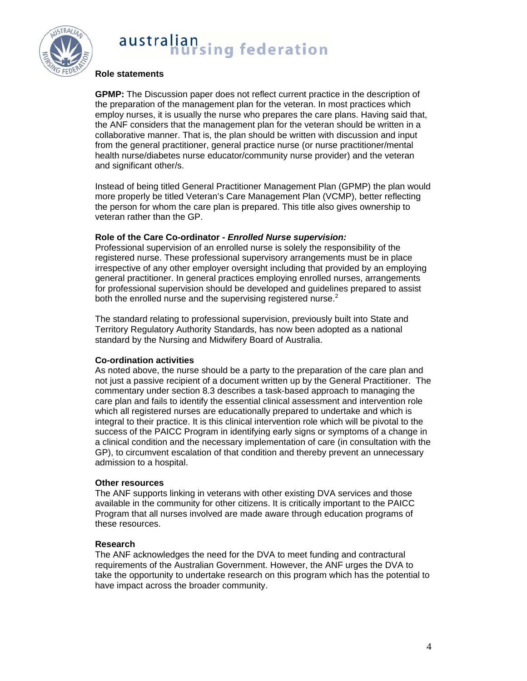

## australian<br>nursing federation

#### **Role statements**

**GPMP:** The Discussion paper does not reflect current practice in the description of the preparation of the management plan for the veteran. In most practices which employ nurses, it is usually the nurse who prepares the care plans. Having said that, the ANF considers that the management plan for the veteran should be written in a collaborative manner. That is, the plan should be written with discussion and input from the general practitioner, general practice nurse (or nurse practitioner/mental health nurse/diabetes nurse educator/community nurse provider) and the veteran and significant other/s.

Instead of being titled General Practitioner Management Plan (GPMP) the plan would more properly be titled Veteran's Care Management Plan (VCMP), better reflecting the person for whom the care plan is prepared. This title also gives ownership to veteran rather than the GP.

#### **Role of the Care Co-ordinator -** *Enrolled Nurse supervision:*

Professional supervision of an enrolled nurse is solely the responsibility of the registered nurse. These professional supervisory arrangements must be in place irrespective of any other employer oversight including that provided by an employing general practitioner. In general practices employing enrolled nurses, arrangements for professional supervision should be developed and guidelines prepared to assist both the enrolled nurse and the supervising registered nurse. $2$ 

The standard relating to professional supervision, previously built into State and Territory Regulatory Authority Standards, has now been adopted as a national standard by the Nursing and Midwifery Board of Australia.

#### **Co-ordination activities**

As noted above, the nurse should be a party to the preparation of the care plan and not just a passive recipient of a document written up by the General Practitioner. The commentary under section 8.3 describes a task-based approach to managing the care plan and fails to identify the essential clinical assessment and intervention role which all registered nurses are educationally prepared to undertake and which is integral to their practice. It is this clinical intervention role which will be pivotal to the success of the PAICC Program in identifying early signs or symptoms of a change in a clinical condition and the necessary implementation of care (in consultation with the GP), to circumvent escalation of that condition and thereby prevent an unnecessary admission to a hospital.

#### **Other resources**

The ANF supports linking in veterans with other existing DVA services and those available in the community for other citizens. It is critically important to the PAICC Program that all nurses involved are made aware through education programs of these resources.

#### **Research**

The ANF acknowledges the need for the DVA to meet funding and contractural requirements of the Australian Government. However, the ANF urges the DVA to take the opportunity to undertake research on this program which has the potential to have impact across the broader community.